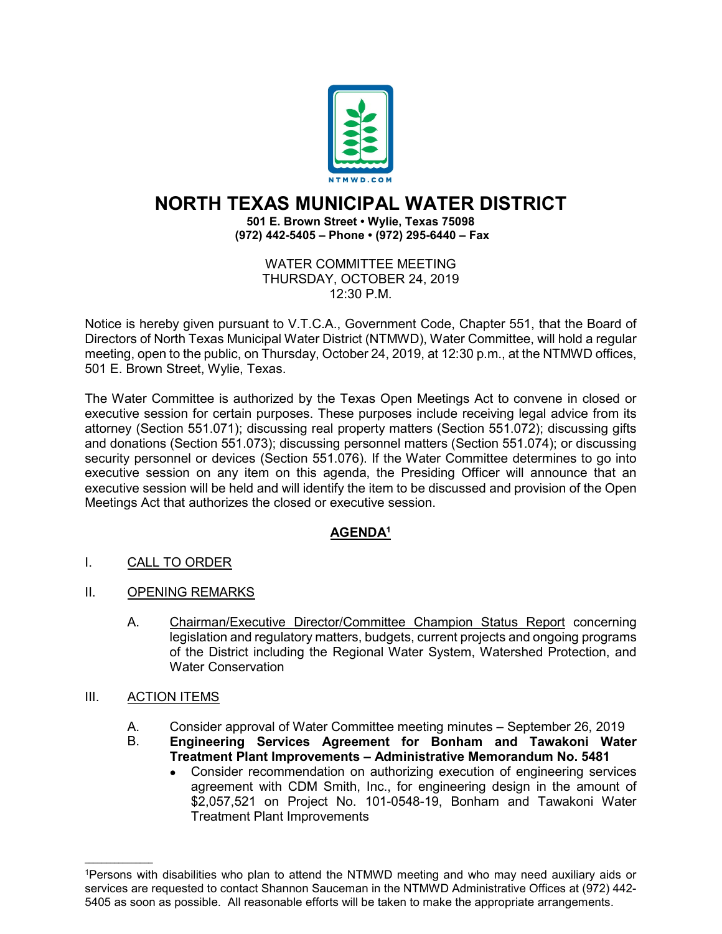

## **NORTH TEXAS MUNICIPAL WATER DISTRICT**

**501 E. Brown Street • Wylie, Texas 75098 (972) 442-5405 – Phone • (972) 295-6440 – Fax**

> WATER COMMITTEE MEETING THURSDAY, OCTOBER 24, 2019 12:30 P.M.

Notice is hereby given pursuant to V.T.C.A., Government Code, Chapter 551, that the Board of Directors of North Texas Municipal Water District (NTMWD), Water Committee, will hold a regular meeting, open to the public, on Thursday, October 24, 2019, at 12:30 p.m., at the NTMWD offices, 501 E. Brown Street, Wylie, Texas.

The Water Committee is authorized by the Texas Open Meetings Act to convene in closed or executive session for certain purposes. These purposes include receiving legal advice from its attorney (Section 551.071); discussing real property matters (Section 551.072); discussing gifts and donations (Section 551.073); discussing personnel matters (Section 551.074); or discussing security personnel or devices (Section 551.076). If the Water Committee determines to go into executive session on any item on this agenda, the Presiding Officer will announce that an executive session will be held and will identify the item to be discussed and provision of the Open Meetings Act that authorizes the closed or executive session.

## **AGENDA1**

- I. CALL TO ORDER
- II. OPENING REMARKS
	- A. Chairman/Executive Director/Committee Champion Status Report concerning legislation and regulatory matters, budgets, current projects and ongoing programs of the District including the Regional Water System, Watershed Protection, and Water Conservation

## III. ACTION ITEMS

 $\mathcal{L}=\{1,2,3,4,5\}$ 

- A. Consider approval of Water Committee meeting minutes September 26, 2019<br>B. **Engineering Services Agreement for Bonham and Tawakoni Wate**
- B. **Engineering Services Agreement for Bonham and Tawakoni Water Treatment Plant Improvements – Administrative Memorandum No. 5481**
	- Consider recommendation on authorizing execution of engineering services agreement with CDM Smith, Inc., for engineering design in the amount of \$2,057,521 on Project No. 101-0548-19, Bonham and Tawakoni Water Treatment Plant Improvements

<sup>1</sup>Persons with disabilities who plan to attend the NTMWD meeting and who may need auxiliary aids or services are requested to contact Shannon Sauceman in the NTMWD Administrative Offices at (972) 442- 5405 as soon as possible. All reasonable efforts will be taken to make the appropriate arrangements.